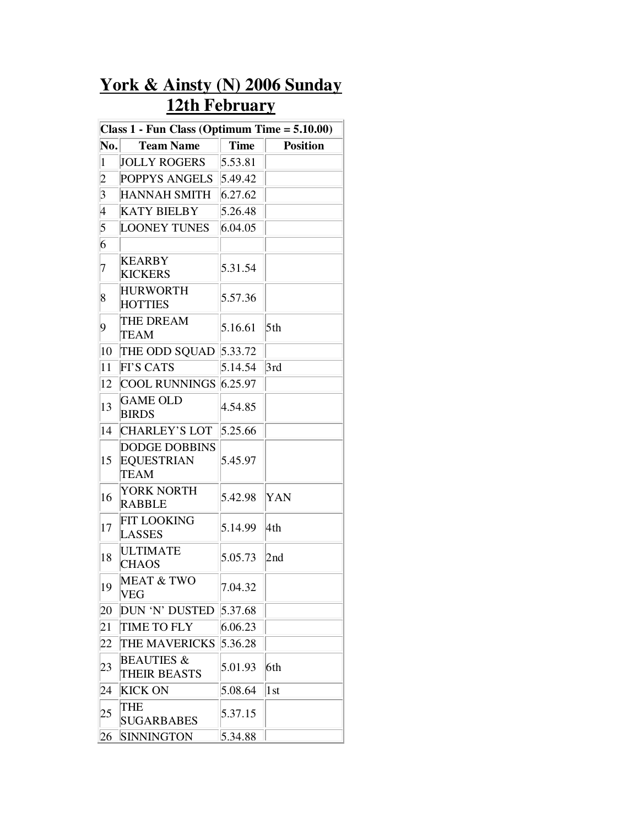## **York & Ainsty (N) 2006 Sunday 12th February**

| Class 1 - Fun Class (Optimum Time $= 5.10.00$ ) |                                                          |             |                 |  |  |  |
|-------------------------------------------------|----------------------------------------------------------|-------------|-----------------|--|--|--|
| No.                                             | <b>Team Name</b>                                         | <b>Time</b> | <b>Position</b> |  |  |  |
| $\vert$ 1                                       | <b>JOLLY ROGERS</b>                                      | 5.53.81     |                 |  |  |  |
| $ 2\rangle$                                     | POPPYS ANGELS                                            | 5.49.42     |                 |  |  |  |
| 3                                               | <b>HANNAH SMITH</b>                                      | 6.27.62     |                 |  |  |  |
| 4                                               | <b>KATY BIELBY</b>                                       | 5.26.48     |                 |  |  |  |
| $\vert$ 5                                       | <b>LOONEY TUNES</b>                                      | 6.04.05     |                 |  |  |  |
| $\overline{6}$                                  |                                                          |             |                 |  |  |  |
| 7                                               | <b>KEARBY</b><br><b>KICKERS</b>                          | 5.31.54     |                 |  |  |  |
| 8                                               | <b>HURWORTH</b><br><b>HOTTIES</b>                        | 5.57.36     |                 |  |  |  |
| 9                                               | THE DREAM<br><b>TEAM</b>                                 | 5.16.61     | 5th             |  |  |  |
| 10                                              | THE ODD SQUAD $ 5.33.72$                                 |             |                 |  |  |  |
| 11                                              | <b>FI'S CATS</b>                                         | 5.14.54     | 3rd             |  |  |  |
| 12                                              | <b>COOL RUNNINGS</b>                                     | 6.25.97     |                 |  |  |  |
| 13                                              | <b>GAME OLD</b><br><b>BIRDS</b>                          | 4.54.85     |                 |  |  |  |
| 14                                              | <b>CHARLEY'S LOT</b>                                     | 5.25.66     |                 |  |  |  |
| 15                                              | <b>DODGE DOBBINS</b><br><b>EQUESTRIAN</b><br><b>TEAM</b> | 5.45.97     |                 |  |  |  |
| 16                                              | YORK NORTH<br><b>RABBLE</b>                              | 5.42.98     | YAN             |  |  |  |
| 17                                              | <b>FIT LOOKING</b><br><b>LASSES</b>                      | 5.14.99     | 4th             |  |  |  |
| 18                                              | <b>ULTIMATE</b><br><b>CHAOS</b>                          | 5.05.73     | 2nd             |  |  |  |
| 19                                              | <b>MEAT &amp; TWO</b><br><b>VEG</b>                      | 7.04.32     |                 |  |  |  |
| 20                                              | DUN 'N' DUSTED                                           | 5.37.68     |                 |  |  |  |
| 21                                              | TIME TO FLY                                              | 6.06.23     |                 |  |  |  |
| 22                                              | THE MAVERICKS                                            | 5.36.28     |                 |  |  |  |
| 23                                              | <b>BEAUTIES &amp;</b><br>THEIR BEASTS                    | 5.01.93     | 6th             |  |  |  |
| 24                                              | <b>KICK ON</b>                                           | 5.08.64     | 1 <sub>st</sub> |  |  |  |
| 25                                              | <b>THE</b><br><b>SUGARBABES</b>                          | 5.37.15     |                 |  |  |  |
| 26                                              | <b>SINNINGTON</b>                                        | 5.34.88     |                 |  |  |  |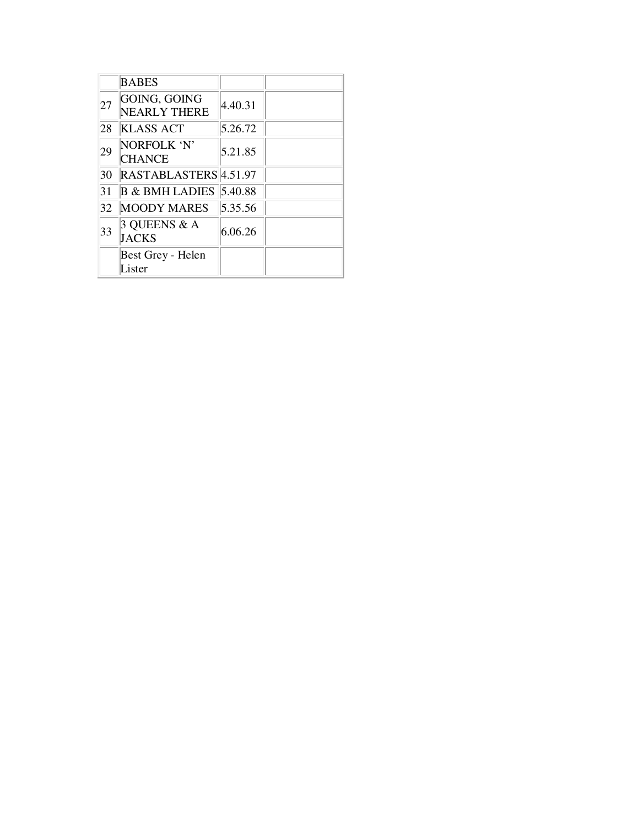|    | <b>BABES</b>                        |         |  |
|----|-------------------------------------|---------|--|
| 27 | GOING, GOING<br><b>NEARLY THERE</b> | 4.40.31 |  |
| 28 | <b>KLASS ACT</b>                    | 5.26.72 |  |
| 29 | NORFOLK 'N'<br><b>CHANCE</b>        | 5.21.85 |  |
| 30 | RASTABLASTERS 4.51.97               |         |  |
| 31 | <b>B &amp; BMH LADIES</b>           | 5.40.88 |  |
| 32 | <b>MOODY MARES</b>                  | 5.35.56 |  |
| 33 | 3 QUEENS & A<br><b>JACKS</b>        | 6.06.26 |  |
|    | Best Grey - Helen<br>Lister         |         |  |